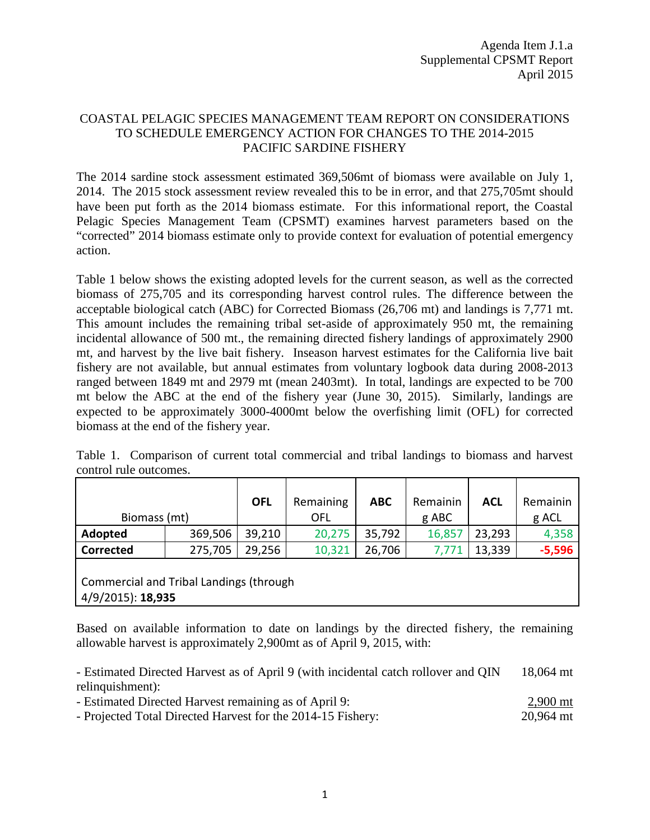# COASTAL PELAGIC SPECIES MANAGEMENT TEAM REPORT ON CONSIDERATIONS TO SCHEDULE EMERGENCY ACTION FOR CHANGES TO THE 2014-2015 PACIFIC SARDINE FISHERY

The 2014 sardine stock assessment estimated 369,506mt of biomass were available on July 1, 2014. The 2015 stock assessment review revealed this to be in error, and that 275,705mt should have been put forth as the 2014 biomass estimate. For this informational report, the Coastal Pelagic Species Management Team (CPSMT) examines harvest parameters based on the "corrected" 2014 biomass estimate only to provide context for evaluation of potential emergency action.

Table 1 below shows the existing adopted levels for the current season, as well as the corrected biomass of 275,705 and its corresponding harvest control rules. The difference between the acceptable biological catch (ABC) for Corrected Biomass (26,706 mt) and landings is 7,771 mt. This amount includes the remaining tribal set-aside of approximately 950 mt, the remaining incidental allowance of 500 mt., the remaining directed fishery landings of approximately 2900 mt, and harvest by the live bait fishery. Inseason harvest estimates for the California live bait fishery are not available, but annual estimates from voluntary logbook data during 2008-2013 ranged between 1849 mt and 2979 mt (mean 2403mt). In total, landings are expected to be 700 mt below the ABC at the end of the fishery year (June 30, 2015). Similarly, landings are expected to be approximately 3000-4000mt below the overfishing limit (OFL) for corrected biomass at the end of the fishery year.

|  |                        |  | Table 1. Comparison of current total commercial and tribal landings to biomass and harvest |  |  |  |  |
|--|------------------------|--|--------------------------------------------------------------------------------------------|--|--|--|--|
|  | control rule outcomes. |  |                                                                                            |  |  |  |  |

| Biomass (mt)                                                        |         | <b>OFL</b> | Remaining<br>OFL | <b>ABC</b> | Remainin<br>g ABC | <b>ACL</b> | Remainin<br>g ACL |  |  |
|---------------------------------------------------------------------|---------|------------|------------------|------------|-------------------|------------|-------------------|--|--|
| Adopted                                                             | 369,506 | 39,210     | 20,275           | 35,792     | 16,857            | 23,293     | 4,358             |  |  |
| <b>Corrected</b>                                                    | 275,705 | 29,256     | 10,321           | 26,706     | 7,771             | 13,339     | $-5,596$          |  |  |
| <b>Commercial and Tribal Landings (through</b><br>4/9/2015): 18,935 |         |            |                  |            |                   |            |                   |  |  |

Based on available information to date on landings by the directed fishery, the remaining allowable harvest is approximately 2,900mt as of April 9, 2015, with:

- Estimated Directed Harvest as of April 9 (with incidental catch rollover and QIN relinquishment): 18,064 mt

- Estimated Directed Harvest remaining as of April 9: 2,900 mt
- Projected Total Directed Harvest for the 2014-15 Fishery: 20,964 mt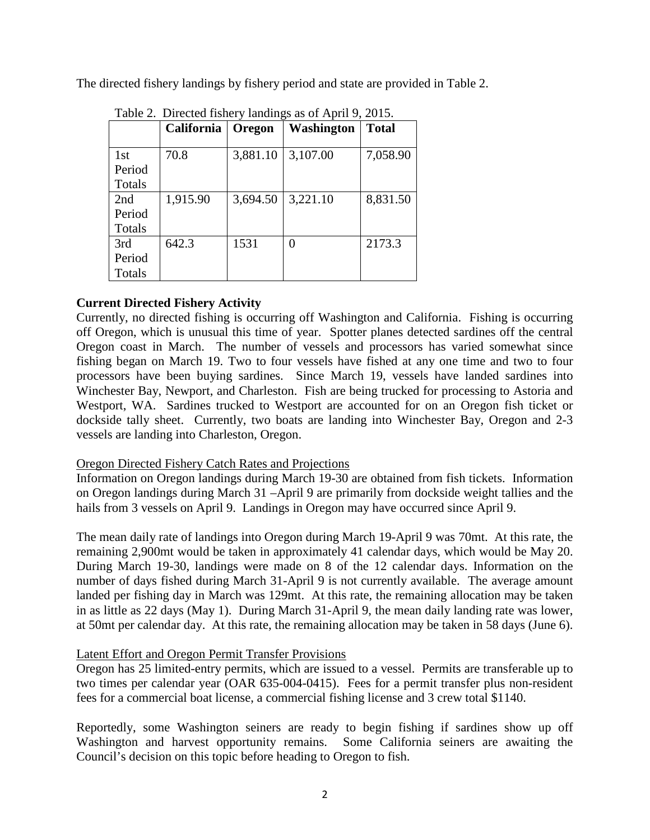The directed fishery landings by fishery period and state are provided in Table 2.

| Table 2. Directed ristictly randings as $\sigma$ April 9, 2015. |            |          |                   |              |  |  |  |  |
|-----------------------------------------------------------------|------------|----------|-------------------|--------------|--|--|--|--|
|                                                                 | California | Oregon   | <b>Washington</b> | <b>Total</b> |  |  |  |  |
| 1st<br>Period                                                   | 70.8       | 3,881.10 | 3,107.00          | 7,058.90     |  |  |  |  |
| <b>Totals</b>                                                   |            |          |                   |              |  |  |  |  |
| 2nd                                                             | 1,915.90   | 3,694.50 | 3,221.10          | 8,831.50     |  |  |  |  |
| Period                                                          |            |          |                   |              |  |  |  |  |
| <b>Totals</b>                                                   |            |          |                   |              |  |  |  |  |
| 3rd                                                             | 642.3      | 1531     | 0                 | 2173.3       |  |  |  |  |
| Period                                                          |            |          |                   |              |  |  |  |  |
| Totals                                                          |            |          |                   |              |  |  |  |  |

Table 2. Directed fishery landings as of April 9, 2015.

# **Current Directed Fishery Activity**

Currently, no directed fishing is occurring off Washington and California. Fishing is occurring off Oregon, which is unusual this time of year. Spotter planes detected sardines off the central Oregon coast in March. The number of vessels and processors has varied somewhat since fishing began on March 19. Two to four vessels have fished at any one time and two to four processors have been buying sardines. Since March 19, vessels have landed sardines into Winchester Bay, Newport, and Charleston. Fish are being trucked for processing to Astoria and Westport, WA. Sardines trucked to Westport are accounted for on an Oregon fish ticket or dockside tally sheet. Currently, two boats are landing into Winchester Bay, Oregon and 2-3 vessels are landing into Charleston, Oregon.

# Oregon Directed Fishery Catch Rates and Projections

Information on Oregon landings during March 19-30 are obtained from fish tickets. Information on Oregon landings during March 31 –April 9 are primarily from dockside weight tallies and the hails from 3 vessels on April 9. Landings in Oregon may have occurred since April 9.

The mean daily rate of landings into Oregon during March 19-April 9 was 70mt. At this rate, the remaining 2,900mt would be taken in approximately 41 calendar days, which would be May 20. During March 19-30, landings were made on 8 of the 12 calendar days. Information on the number of days fished during March 31-April 9 is not currently available. The average amount landed per fishing day in March was 129mt. At this rate, the remaining allocation may be taken in as little as 22 days (May 1). During March 31-April 9, the mean daily landing rate was lower, at 50mt per calendar day. At this rate, the remaining allocation may be taken in 58 days (June 6).

# Latent Effort and Oregon Permit Transfer Provisions

Oregon has 25 limited-entry permits, which are issued to a vessel. Permits are transferable up to two times per calendar year (OAR 635-004-0415). Fees for a permit transfer plus non-resident fees for a commercial boat license, a commercial fishing license and 3 crew total \$1140.

Reportedly, some Washington seiners are ready to begin fishing if sardines show up off Washington and harvest opportunity remains. Some California seiners are awaiting the Council's decision on this topic before heading to Oregon to fish.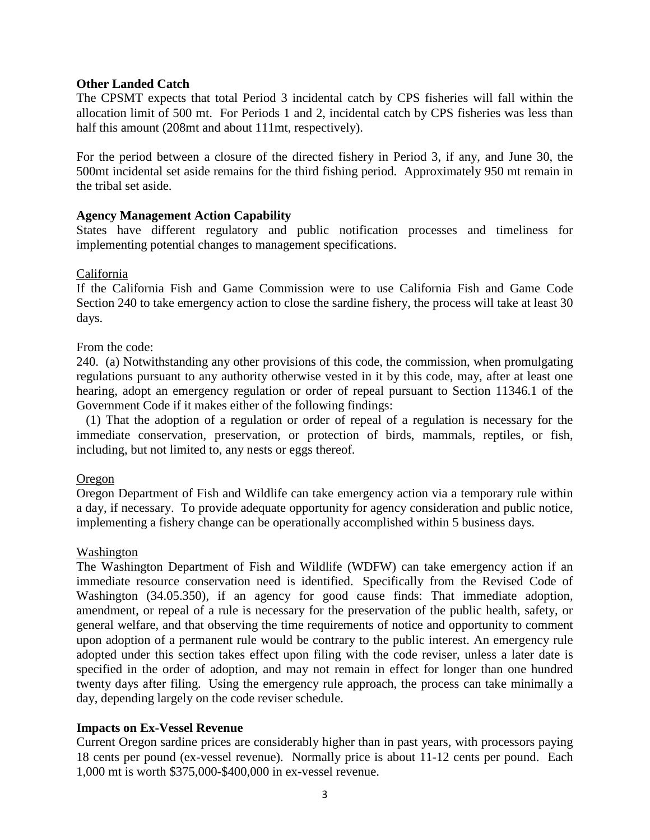#### **Other Landed Catch**

The CPSMT expects that total Period 3 incidental catch by CPS fisheries will fall within the allocation limit of 500 mt. For Periods 1 and 2, incidental catch by CPS fisheries was less than half this amount (208mt and about 111mt, respectively).

For the period between a closure of the directed fishery in Period 3, if any, and June 30, the 500mt incidental set aside remains for the third fishing period. Approximately 950 mt remain in the tribal set aside.

# **Agency Management Action Capability**

States have different regulatory and public notification processes and timeliness for implementing potential changes to management specifications.

#### California

If the California Fish and Game Commission were to use California Fish and Game Code Section 240 to take emergency action to close the sardine fishery, the process will take at least 30 days.

#### From the code:

240. (a) Notwithstanding any other provisions of this code, the commission, when promulgating regulations pursuant to any authority otherwise vested in it by this code, may, after at least one hearing, adopt an emergency regulation or order of repeal pursuant to Section 11346.1 of the Government Code if it makes either of the following findings:

 (1) That the adoption of a regulation or order of repeal of a regulation is necessary for the immediate conservation, preservation, or protection of birds, mammals, reptiles, or fish, including, but not limited to, any nests or eggs thereof.

#### Oregon

Oregon Department of Fish and Wildlife can take emergency action via a temporary rule within a day, if necessary. To provide adequate opportunity for agency consideration and public notice, implementing a fishery change can be operationally accomplished within 5 business days.

#### Washington

The Washington Department of Fish and Wildlife (WDFW) can take emergency action if an immediate resource conservation need is identified. Specifically from the Revised Code of Washington (34.05.350), if an agency for good cause finds: That immediate adoption, amendment, or repeal of a rule is necessary for the preservation of the public health, safety, or general welfare, and that observing the time requirements of notice and opportunity to comment upon adoption of a permanent rule would be contrary to the public interest. An emergency rule adopted under this section takes effect upon filing with the code reviser, unless a later date is specified in the order of adoption, and may not remain in effect for longer than one hundred twenty days after filing. Using the emergency rule approach, the process can take minimally a day, depending largely on the code reviser schedule.

# **Impacts on Ex-Vessel Revenue**

Current Oregon sardine prices are considerably higher than in past years, with processors paying 18 cents per pound (ex-vessel revenue). Normally price is about 11-12 cents per pound. Each 1,000 mt is worth \$375,000-\$400,000 in ex-vessel revenue.